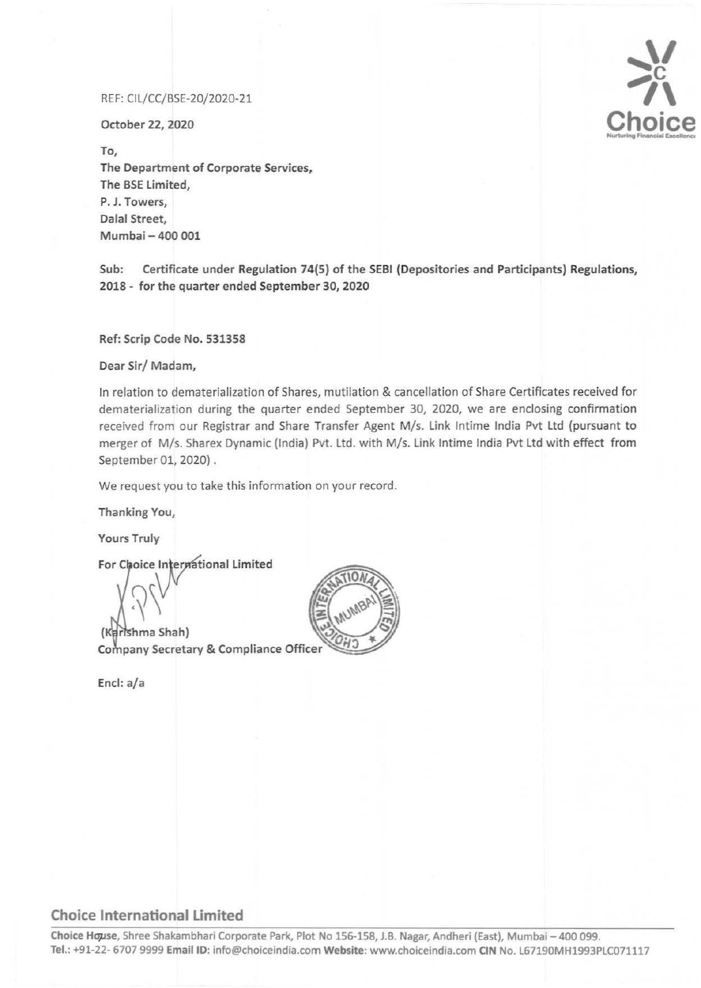## REF: CIL/CC/BSE-20/2020-21

October 22, 2020

To, The Department of Corporate Services, The BSE Limited, P. J. Towers, Dalal Street, Mumbai - 400 001

Sub: Certificate under Regulation 74(5) of the SEBI (Depositories and Participants) Regulations, 2018 - for the quarter ended September 30, 2020

Ref: Scrip Code No. 531358

Dear Sir/ Madam,

In relation to dematerialization of Shares, mutilation & cancellation of Share Certificates received for dematerialization during the quarter ended September 30, 2020, we are enclosing confirmation received from our Registrar and Share Transfer Agent M/s. Link lntime India Pvt Ltd (pursuant to merger of M/s. Sharex Dynamic (India) Pvt. Ltd. with M/s. Link Intime India Pvt Ltd with effect from September 01, 2020) .

We request you to take this information on your record.

Thanking You,

Yours Truly

For Choice International Limited

(Karlshma Shah) Company Secretary & Compliance Officer

End: a/a



## ..,\_\/ **c** ?\ Choice

## **Choice International Limited**